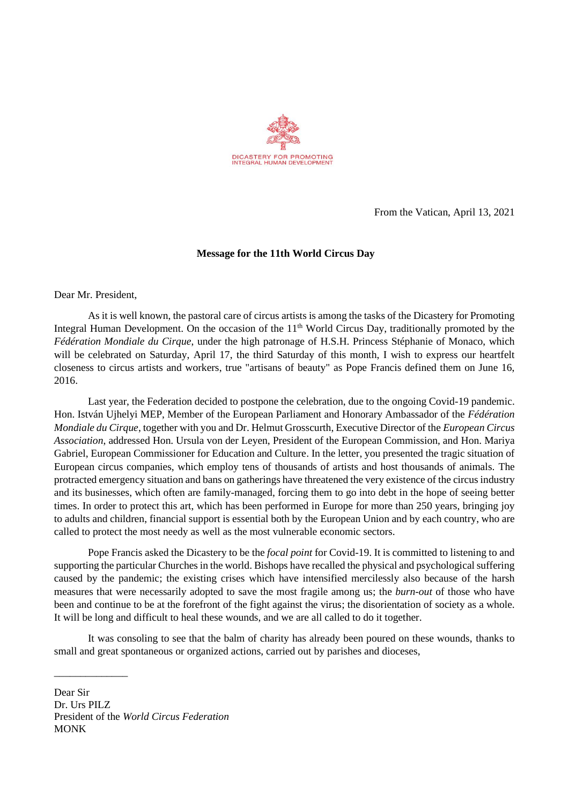

From the Vatican, April 13, 2021

## **Message for the 11th World Circus Day**

Dear Mr. President,

As it is well known, the pastoral care of circus artists is among the tasks of the Dicastery for Promoting Integral Human Development. On the occasion of the  $11<sup>th</sup>$  World Circus Day, traditionally promoted by the *Fédération Mondiale du Cirque*, under the high patronage of H.S.H. Princess Stéphanie of Monaco, which will be celebrated on Saturday, April 17, the third Saturday of this month, I wish to express our heartfelt closeness to circus artists and workers, true "artisans of beauty" as Pope Francis defined them on June 16, 2016.

Last year, the Federation decided to postpone the celebration, due to the ongoing Covid-19 pandemic. Hon. István Ujhelyi MEP, Member of the European Parliament and Honorary Ambassador of the *Fédération Mondiale du Cirque*, together with you and Dr. Helmut Grosscurth, Executive Director of the *European Circus Association*, addressed Hon. Ursula von der Leyen, President of the European Commission, and Hon. Mariya Gabriel, European Commissioner for Education and Culture. In the letter, you presented the tragic situation of European circus companies, which employ tens of thousands of artists and host thousands of animals. The protracted emergency situation and bans on gatherings have threatened the very existence of the circus industry and its businesses, which often are family-managed, forcing them to go into debt in the hope of seeing better times. In order to protect this art, which has been performed in Europe for more than 250 years, bringing joy to adults and children, financial support is essential both by the European Union and by each country, who are called to protect the most needy as well as the most vulnerable economic sectors.

Pope Francis asked the Dicastery to be the *focal point* for Covid-19. It is committed to listening to and supporting the particular Churches in the world. Bishops have recalled the physical and psychological suffering caused by the pandemic; the existing crises which have intensified mercilessly also because of the harsh measures that were necessarily adopted to save the most fragile among us; the *burn-out* of those who have been and continue to be at the forefront of the fight against the virus; the disorientation of society as a whole. It will be long and difficult to heal these wounds, and we are all called to do it together.

It was consoling to see that the balm of charity has already been poured on these wounds, thanks to small and great spontaneous or organized actions, carried out by parishes and dioceses,

Dear Sir Dr. Urs PILZ President of the *World Circus Federation* MONK

\_\_\_\_\_\_\_\_\_\_\_\_\_\_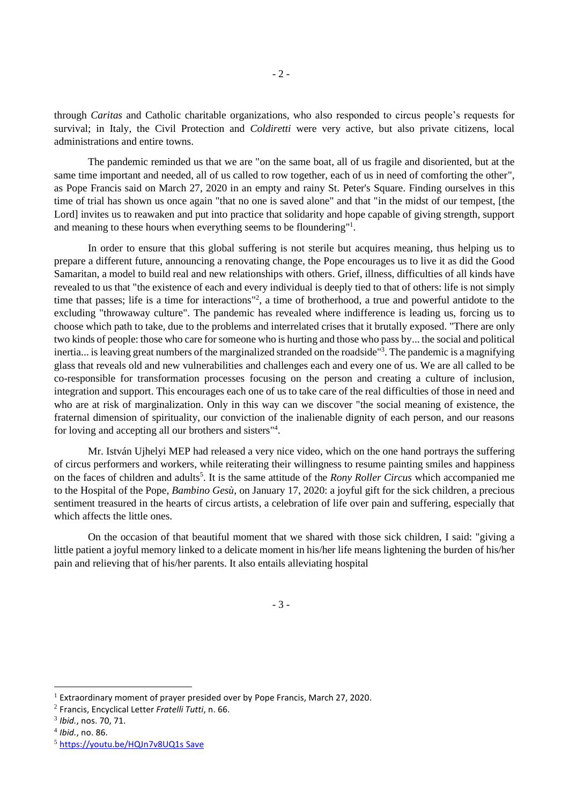through *Caritas* and Catholic charitable organizations, who also responded to circus people's requests for survival; in Italy, the Civil Protection and *Coldiretti* were very active, but also private citizens, local administrations and entire towns.

The pandemic reminded us that we are "on the same boat, all of us fragile and disoriented, but at the same time important and needed, all of us called to row together, each of us in need of comforting the other", as Pope Francis said on March 27, 2020 in an empty and rainy St. Peter's Square. Finding ourselves in this time of trial has shown us once again "that no one is saved alone" and that "in the midst of our tempest, [the Lord] invites us to reawaken and put into practice that solidarity and hope capable of giving strength, support and meaning to these hours when everything seems to be floundering"<sup>1</sup>.

In order to ensure that this global suffering is not sterile but acquires meaning, thus helping us to prepare a different future, announcing a renovating change, the Pope encourages us to live it as did the Good Samaritan, a model to build real and new relationships with others. Grief, illness, difficulties of all kinds have revealed to us that "the existence of each and every individual is deeply tied to that of others: life is not simply time that passes; life is a time for interactions"<sup>2</sup>, a time of brotherhood, a true and powerful antidote to the excluding "throwaway culture". The pandemic has revealed where indifference is leading us, forcing us to choose which path to take, due to the problems and interrelated crises that it brutally exposed. "There are only two kinds of people: those who care for someone who is hurting and those who pass by... the social and political inertia... is leaving great numbers of the marginalized stranded on the roadside"<sup>3</sup>. The pandemic is a magnifying glass that reveals old and new vulnerabilities and challenges each and every one of us. We are all called to be co-responsible for transformation processes focusing on the person and creating a culture of inclusion, integration and support. This encourages each one of us to take care of the real difficulties of those in need and who are at risk of marginalization. Only in this way can we discover "the social meaning of existence, the fraternal dimension of spirituality, our conviction of the inalienable dignity of each person, and our reasons for loving and accepting all our brothers and sisters<sup>14</sup>.

Mr. István Ujhelyi MEP had released a very nice video, which on the one hand portrays the suffering of circus performers and workers, while reiterating their willingness to resume painting smiles and happiness on the faces of children and adults<sup>5</sup>. It is the same attitude of the *Rony Roller Circus* which accompanied me to the Hospital of the Pope, *Bambino Gesù*, on January 17, 2020: a joyful gift for the sick children, a precious sentiment treasured in the hearts of circus artists, a celebration of life over pain and suffering, especially that which affects the little ones.

On the occasion of that beautiful moment that we shared with those sick children, I said: "giving a little patient a joyful memory linked to a delicate moment in his/her life means lightening the burden of his/her pain and relieving that of his/her parents. It also entails alleviating hospital

- 3 -

 $1$  Extraordinary moment of prayer presided over by Pope Francis, March 27, 2020.

<sup>2</sup> Francis, Encyclical Letter *Fratelli Tutti*, n. 66.

<sup>3</sup> *Ibid.*, nos. 70, 71.

<sup>4</sup> *Ibid.*, no. 86.

<sup>5</sup> <https://youtu.be/HQJn7v8UQ1s> [Save](http://www.circusfederation.org/wp-admin/post.php?post=9506&action=edit)